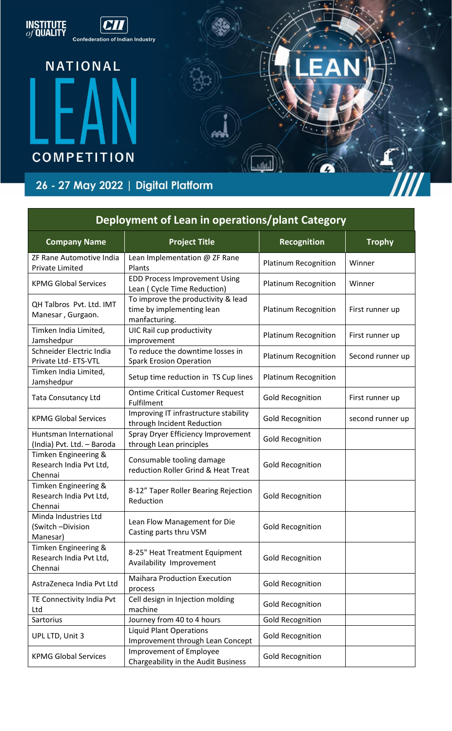

| Deployment of Lean in operations/plant Category            |                                                                                  |                             |                  |
|------------------------------------------------------------|----------------------------------------------------------------------------------|-----------------------------|------------------|
| <b>Company Name</b>                                        | <b>Project Title</b>                                                             | Recognition                 | <b>Trophy</b>    |
| ZF Rane Automotive India<br><b>Private Limited</b>         | Lean Implementation @ ZF Rane<br>Plants                                          | <b>Platinum Recognition</b> | Winner           |
| <b>KPMG Global Services</b>                                | <b>EDD Process Improvement Using</b><br>Lean ( Cycle Time Reduction)             | <b>Platinum Recognition</b> | Winner           |
| QH Talbros Pvt. Ltd. IMT<br>Manesar, Gurgaon.              | To improve the productivity & lead<br>time by implementing lean<br>manfacturing. | Platinum Recognition        | First runner up  |
| Timken India Limited,<br>Jamshedpur                        | UIC Rail cup productivity<br>improvement                                         | <b>Platinum Recognition</b> | First runner up  |
| Schneider Electric India<br>Private Ltd-ETS-VTL            | To reduce the downtime losses in<br><b>Spark Erosion Operation</b>               | <b>Platinum Recognition</b> | Second runner up |
| Timken India Limited,<br>Jamshedpur                        | Setup time reduction in TS Cup lines                                             | <b>Platinum Recognition</b> |                  |
| <b>Tata Consutancy Ltd</b>                                 | <b>Ontime Critical Customer Request</b><br>Fulfilment                            | <b>Gold Recognition</b>     | First runner up  |
| <b>KPMG Global Services</b>                                | Improving IT infrastructure stability<br>through Incident Reduction              | <b>Gold Recognition</b>     | second runner up |
| Huntsman International<br>(India) Pvt. Ltd. - Baroda       | Spray Dryer Efficiency Improvement<br>through Lean principles                    | <b>Gold Recognition</b>     |                  |
| Timken Engineering &<br>Research India Pvt Ltd,<br>Chennai | Consumable tooling damage<br>reduction Roller Grind & Heat Treat                 | <b>Gold Recognition</b>     |                  |
| Timken Engineering &<br>Research India Pvt Ltd,<br>Chennai | 8-12" Taper Roller Bearing Rejection<br>Reduction                                | <b>Gold Recognition</b>     |                  |
| Minda Industries Ltd<br>(Switch-Division<br>Manesar)       | Lean Flow Management for Die<br>Casting parts thru VSM                           | <b>Gold Recognition</b>     |                  |
| Timken Engineering &<br>Research India Pvt Ltd,<br>Chennai | 8-25" Heat Treatment Equipment<br>Availability Improvement                       | <b>Gold Recognition</b>     |                  |
| AstraZeneca India Pvt Ltd                                  | <b>Maihara Production Execution</b><br>process                                   | <b>Gold Recognition</b>     |                  |
| TE Connectivity India Pvt<br>Ltd                           | Cell design in Injection molding<br>machine                                      | <b>Gold Recognition</b>     |                  |
| Sartorius                                                  | Journey from 40 to 4 hours                                                       | <b>Gold Recognition</b>     |                  |
| UPL LTD, Unit 3                                            | <b>Liquid Plant Operations</b><br>Improvement through Lean Concept               | <b>Gold Recognition</b>     |                  |
| <b>KPMG Global Services</b>                                | Improvement of Employee<br>Chargeability in the Audit Business                   | <b>Gold Recognition</b>     |                  |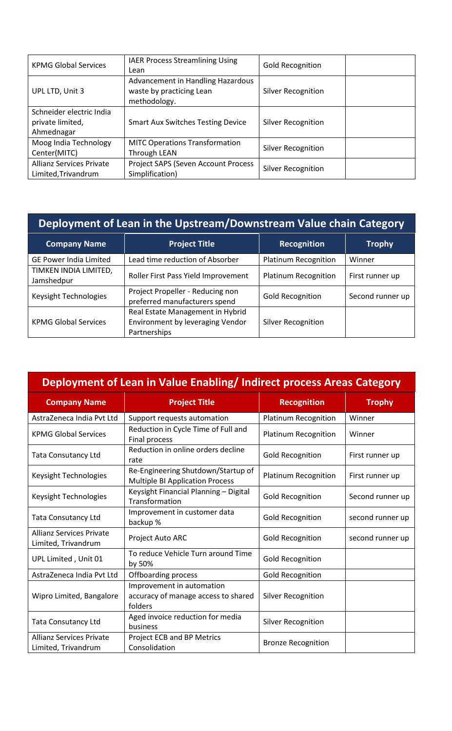| <b>KPMG Global Services</b>                                | <b>IAER Process Streamlining Using</b><br>Lean                                | <b>Gold Recognition</b>   |  |
|------------------------------------------------------------|-------------------------------------------------------------------------------|---------------------------|--|
| UPL LTD, Unit 3                                            | Advancement in Handling Hazardous<br>waste by practicing Lean<br>methodology. | <b>Silver Recognition</b> |  |
| Schneider electric India<br>private limited,<br>Ahmednagar | <b>Smart Aux Switches Testing Device</b>                                      | <b>Silver Recognition</b> |  |
| Moog India Technology<br>Center(MITC)                      | <b>MITC Operations Transformation</b><br><b>Through LEAN</b>                  | <b>Silver Recognition</b> |  |
| <b>Allianz Services Private</b><br>Limited, Trivandrum     | Project SAPS (Seven Account Process<br>Simplification)                        | <b>Silver Recognition</b> |  |

| Deployment of Lean in the Upstream/Downstream Value chain Category |                                                                                      |                             |                  |
|--------------------------------------------------------------------|--------------------------------------------------------------------------------------|-----------------------------|------------------|
| <b>Company Name</b>                                                | <b>Project Title</b>                                                                 | <b>Recognition</b>          | <b>Trophy</b>    |
| <b>GE Power India Limited</b>                                      | Lead time reduction of Absorber                                                      | <b>Platinum Recognition</b> | Winner           |
| TIMKEN INDIA LIMITED,<br>Jamshedpur                                | Roller First Pass Yield Improvement                                                  | <b>Platinum Recognition</b> | First runner up  |
| Keysight Technologies                                              | Project Propeller - Reducing non<br>preferred manufacturers spend                    | <b>Gold Recognition</b>     | Second runner up |
| <b>KPMG Global Services</b>                                        | Real Estate Management in Hybrid<br>Environment by leveraging Vendor<br>Partnerships | <b>Silver Recognition</b>   |                  |

| Deployment of Lean in Value Enabling/Indirect process Areas Category |                                                                              |                             |                  |
|----------------------------------------------------------------------|------------------------------------------------------------------------------|-----------------------------|------------------|
| <b>Company Name</b>                                                  | <b>Project Title</b>                                                         | <b>Recognition</b>          | <b>Trophy</b>    |
| AstraZeneca India Pvt Ltd                                            | Support requests automation                                                  | <b>Platinum Recognition</b> | Winner           |
| <b>KPMG Global Services</b>                                          | Reduction in Cycle Time of Full and<br>Final process                         | <b>Platinum Recognition</b> | Winner           |
| <b>Tata Consutancy Ltd</b>                                           | Reduction in online orders decline<br>rate                                   | <b>Gold Recognition</b>     | First runner up  |
| Keysight Technologies                                                | Re-Engineering Shutdown/Startup of<br><b>Multiple BI Application Process</b> | <b>Platinum Recognition</b> | First runner up  |
| Keysight Technologies                                                | Keysight Financial Planning - Digital<br>Transformation                      | <b>Gold Recognition</b>     | Second runner up |
| <b>Tata Consutancy Ltd</b>                                           | Improvement in customer data<br>backup %                                     | <b>Gold Recognition</b>     | second runner up |
| <b>Allianz Services Private</b><br>Limited, Trivandrum               | Project Auto ARC                                                             | <b>Gold Recognition</b>     | second runner up |
| UPL Limited, Unit 01                                                 | To reduce Vehicle Turn around Time<br>by 50%                                 | <b>Gold Recognition</b>     |                  |
| AstraZeneca India Pvt Ltd                                            | Offboarding process                                                          | <b>Gold Recognition</b>     |                  |
| Wipro Limited, Bangalore                                             | Improvement in automation<br>accuracy of manage access to shared<br>folders  | <b>Silver Recognition</b>   |                  |
| <b>Tata Consutancy Ltd</b>                                           | Aged invoice reduction for media<br>business                                 | <b>Silver Recognition</b>   |                  |
| <b>Allianz Services Private</b><br>Limited, Trivandrum               | Project ECB and BP Metrics<br>Consolidation                                  | <b>Bronze Recognition</b>   |                  |